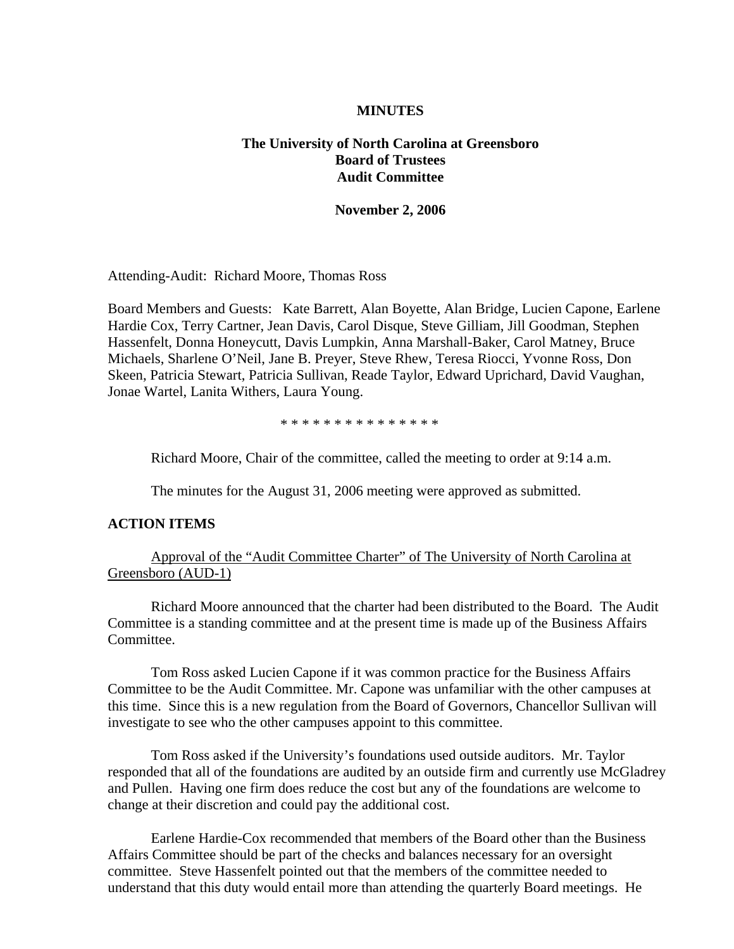#### **MINUTES**

# **The University of North Carolina at Greensboro Board of Trustees Audit Committee**

#### **November 2, 2006**

Attending-Audit: Richard Moore, Thomas Ross

Board Members and Guests: Kate Barrett, Alan Boyette, Alan Bridge, Lucien Capone, Earlene Hardie Cox, Terry Cartner, Jean Davis, Carol Disque, Steve Gilliam, Jill Goodman, Stephen Hassenfelt, Donna Honeycutt, Davis Lumpkin, Anna Marshall-Baker, Carol Matney, Bruce Michaels, Sharlene O'Neil, Jane B. Preyer, Steve Rhew, Teresa Riocci, Yvonne Ross, Don Skeen, Patricia Stewart, Patricia Sullivan, Reade Taylor, Edward Uprichard, David Vaughan, Jonae Wartel, Lanita Withers, Laura Young.

\* \* \* \* \* \* \* \* \* \* \* \* \* \* \*

Richard Moore, Chair of the committee, called the meeting to order at 9:14 a.m.

The minutes for the August 31, 2006 meeting were approved as submitted.

### **ACTION ITEMS**

## Approval of the "Audit Committee Charter" of The University of North Carolina at Greensboro (AUD-1)

 Richard Moore announced that the charter had been distributed to the Board. The Audit Committee is a standing committee and at the present time is made up of the Business Affairs Committee.

 Tom Ross asked Lucien Capone if it was common practice for the Business Affairs Committee to be the Audit Committee. Mr. Capone was unfamiliar with the other campuses at this time. Since this is a new regulation from the Board of Governors, Chancellor Sullivan will investigate to see who the other campuses appoint to this committee.

 Tom Ross asked if the University's foundations used outside auditors. Mr. Taylor responded that all of the foundations are audited by an outside firm and currently use McGladrey and Pullen. Having one firm does reduce the cost but any of the foundations are welcome to change at their discretion and could pay the additional cost.

 Earlene Hardie-Cox recommended that members of the Board other than the Business Affairs Committee should be part of the checks and balances necessary for an oversight committee. Steve Hassenfelt pointed out that the members of the committee needed to understand that this duty would entail more than attending the quarterly Board meetings. He